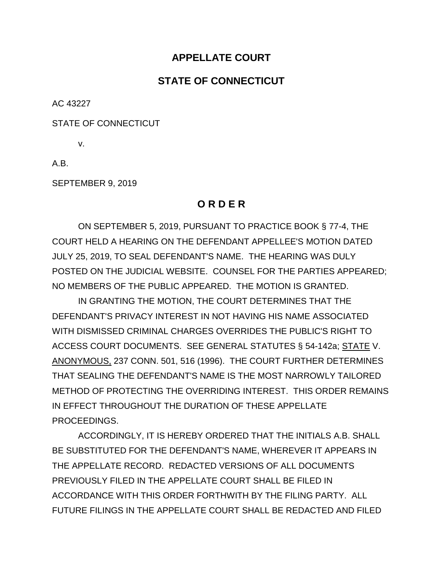## **APPELLATE COURT**

## **STATE OF CONNECTICUT**

AC 43227

STATE OF CONNECTICUT

v.

A.B.

SEPTEMBER 9, 2019

## **O R D E R**

ON SEPTEMBER 5, 2019, PURSUANT TO PRACTICE BOOK § 77-4, THE COURT HELD A HEARING ON THE DEFENDANT APPELLEE'S MOTION DATED JULY 25, 2019, TO SEAL DEFENDANT'S NAME. THE HEARING WAS DULY POSTED ON THE JUDICIAL WEBSITE. COUNSEL FOR THE PARTIES APPEARED; NO MEMBERS OF THE PUBLIC APPEARED. THE MOTION IS GRANTED.

IN GRANTING THE MOTION, THE COURT DETERMINES THAT THE DEFENDANT'S PRIVACY INTEREST IN NOT HAVING HIS NAME ASSOCIATED WITH DISMISSED CRIMINAL CHARGES OVERRIDES THE PUBLIC'S RIGHT TO ACCESS COURT DOCUMENTS. SEE GENERAL STATUTES § 54-142a; STATE V. ANONYMOUS, 237 CONN. 501, 516 (1996). THE COURT FURTHER DETERMINES THAT SEALING THE DEFENDANT'S NAME IS THE MOST NARROWLY TAILORED METHOD OF PROTECTING THE OVERRIDING INTEREST. THIS ORDER REMAINS IN EFFECT THROUGHOUT THE DURATION OF THESE APPELLATE PROCEEDINGS.

ACCORDINGLY, IT IS HEREBY ORDERED THAT THE INITIALS A.B. SHALL BE SUBSTITUTED FOR THE DEFENDANT'S NAME, WHEREVER IT APPEARS IN THE APPELLATE RECORD. REDACTED VERSIONS OF ALL DOCUMENTS PREVIOUSLY FILED IN THE APPELLATE COURT SHALL BE FILED IN ACCORDANCE WITH THIS ORDER FORTHWITH BY THE FILING PARTY. ALL FUTURE FILINGS IN THE APPELLATE COURT SHALL BE REDACTED AND FILED